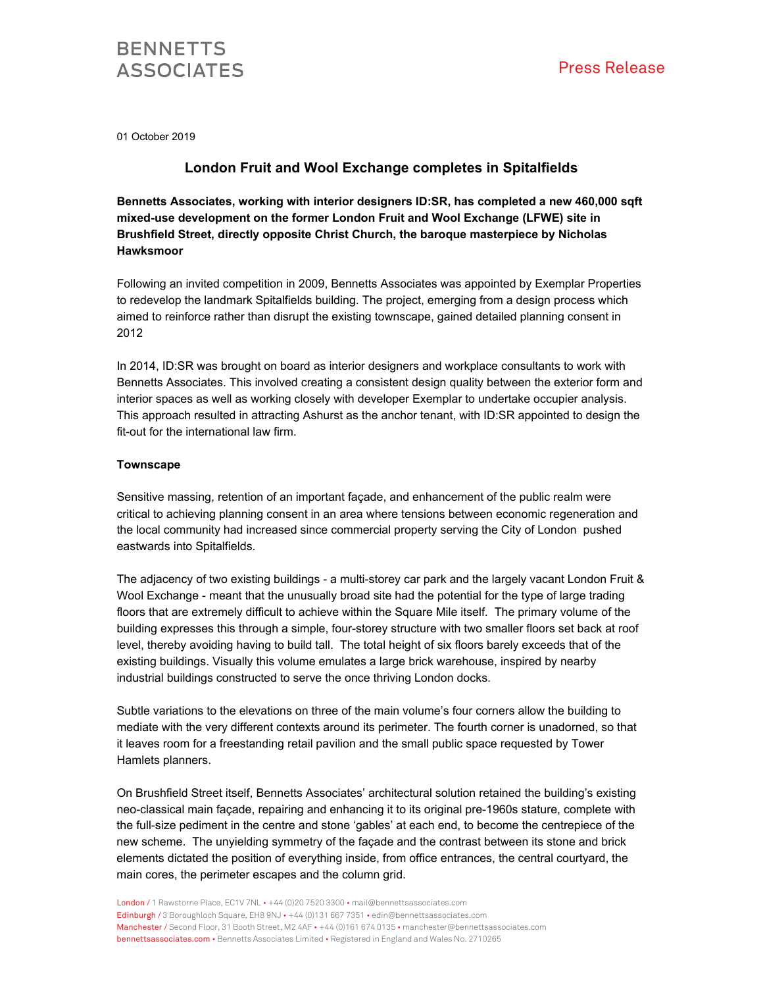

01 October 2019

### **London Fruit and Wool Exchange completes in Spitalfields**

**Bennetts Associates, working with interior designers ID:SR, has completed a new 460,000 sqft mixed-use development on the former London Fruit and Wool Exchange (LFWE) site in Brushfield Street, directly opposite Christ Church, the baroque masterpiece by Nicholas Hawksmoor** 

Following an invited competition in 2009, Bennetts Associates was appointed by Exemplar Properties to redevelop the landmark Spitalfields building. The project, emerging from a design process which aimed to reinforce rather than disrupt the existing townscape, gained detailed planning consent in 2012

In 2014, ID:SR was brought on board as interior designers and workplace consultants to work with Bennetts Associates. This involved creating a consistent design quality between the exterior form and interior spaces as well as working closely with developer Exemplar to undertake occupier analysis. This approach resulted in attracting Ashurst as the anchor tenant, with ID:SR appointed to design the fit-out for the international law firm.

#### **Townscape**

Sensitive massing, retention of an important façade, and enhancement of the public realm were critical to achieving planning consent in an area where tensions between economic regeneration and the local community had increased since commercial property serving the City of London pushed eastwards into Spitalfields.

The adjacency of two existing buildings - a multi-storey car park and the largely vacant London Fruit & Wool Exchange - meant that the unusually broad site had the potential for the type of large trading floors that are extremely difficult to achieve within the Square Mile itself. The primary volume of the building expresses this through a simple, four-storey structure with two smaller floors set back at roof level, thereby avoiding having to build tall. The total height of six floors barely exceeds that of the existing buildings. Visually this volume emulates a large brick warehouse, inspired by nearby industrial buildings constructed to serve the once thriving London docks.

Subtle variations to the elevations on three of the main volume's four corners allow the building to mediate with the very different contexts around its perimeter. The fourth corner is unadorned, so that it leaves room for a freestanding retail pavilion and the small public space requested by Tower Hamlets planners.

On Brushfield Street itself, Bennetts Associates' architectural solution retained the building's existing neo-classical main façade, repairing and enhancing it to its original pre-1960s stature, complete with the full-size pediment in the centre and stone 'gables' at each end, to become the centrepiece of the new scheme. The unyielding symmetry of the façade and the contrast between its stone and brick elements dictated the position of everything inside, from office entrances, the central courtyard, the main cores, the perimeter escapes and the column grid.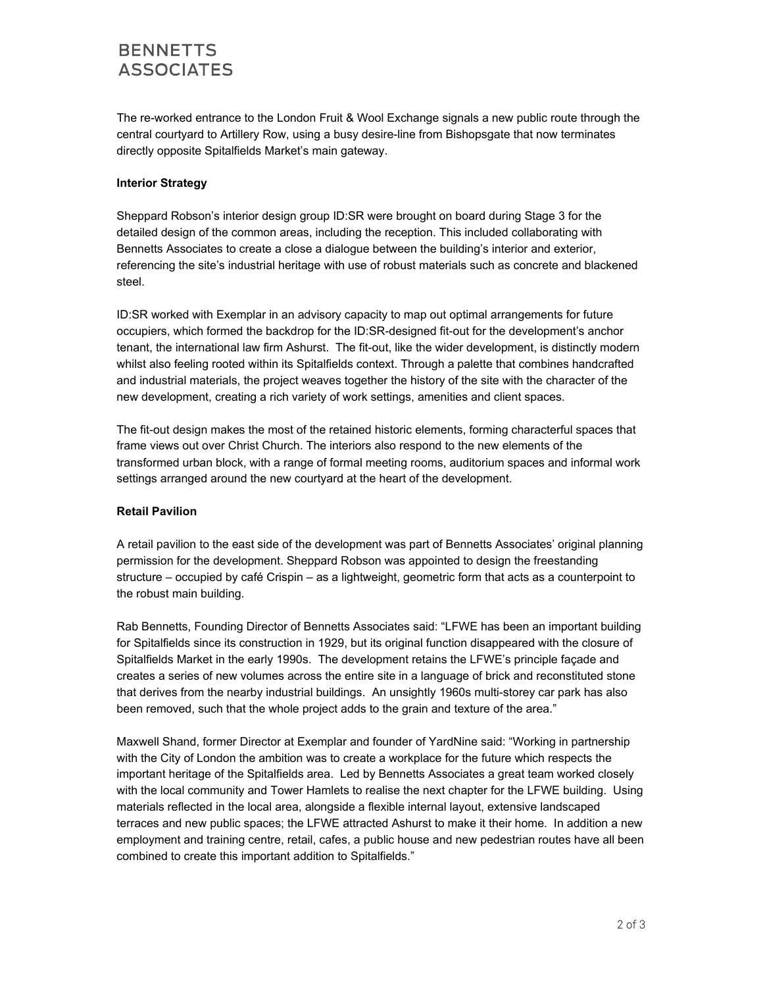# **BENNETTS ASSOCIATES**

The re-worked entrance to the London Fruit & Wool Exchange signals a new public route through the central courtyard to Artillery Row, using a busy desire-line from Bishopsgate that now terminates directly opposite Spitalfields Market's main gateway.

### **Interior Strategy**

Sheppard Robson's interior design group ID:SR were brought on board during Stage 3 for the detailed design of the common areas, including the reception. This included collaborating with Bennetts Associates to create a close a dialogue between the building's interior and exterior, referencing the site's industrial heritage with use of robust materials such as concrete and blackened steel.

ID:SR worked with Exemplar in an advisory capacity to map out optimal arrangements for future occupiers, which formed the backdrop for the ID:SR-designed fit-out for the development's anchor tenant, the international law firm Ashurst. The fit-out, like the wider development, is distinctly modern whilst also feeling rooted within its Spitalfields context. Through a palette that combines handcrafted and industrial materials, the project weaves together the history of the site with the character of the new development, creating a rich variety of work settings, amenities and client spaces.

The fit-out design makes the most of the retained historic elements, forming characterful spaces that frame views out over Christ Church. The interiors also respond to the new elements of the transformed urban block, with a range of formal meeting rooms, auditorium spaces and informal work settings arranged around the new courtyard at the heart of the development.

#### **Retail Pavilion**

A retail pavilion to the east side of the development was part of Bennetts Associates' original planning permission for the development. Sheppard Robson was appointed to design the freestanding structure – occupied by café Crispin – as a lightweight, geometric form that acts as a counterpoint to the robust main building.

Rab Bennetts, Founding Director of Bennetts Associates said: "LFWE has been an important building for Spitalfields since its construction in 1929, but its original function disappeared with the closure of Spitalfields Market in the early 1990s. The development retains the LFWE's principle façade and creates a series of new volumes across the entire site in a language of brick and reconstituted stone that derives from the nearby industrial buildings. An unsightly 1960s multi-storey car park has also been removed, such that the whole project adds to the grain and texture of the area."

Maxwell Shand, former Director at Exemplar and founder of YardNine said: "Working in partnership with the City of London the ambition was to create a workplace for the future which respects the important heritage of the Spitalfields area. Led by Bennetts Associates a great team worked closely with the local community and Tower Hamlets to realise the next chapter for the LFWE building. Using materials reflected in the local area, alongside a flexible internal layout, extensive landscaped terraces and new public spaces; the LFWE attracted Ashurst to make it their home. In addition a new employment and training centre, retail, cafes, a public house and new pedestrian routes have all been combined to create this important addition to Spitalfields."